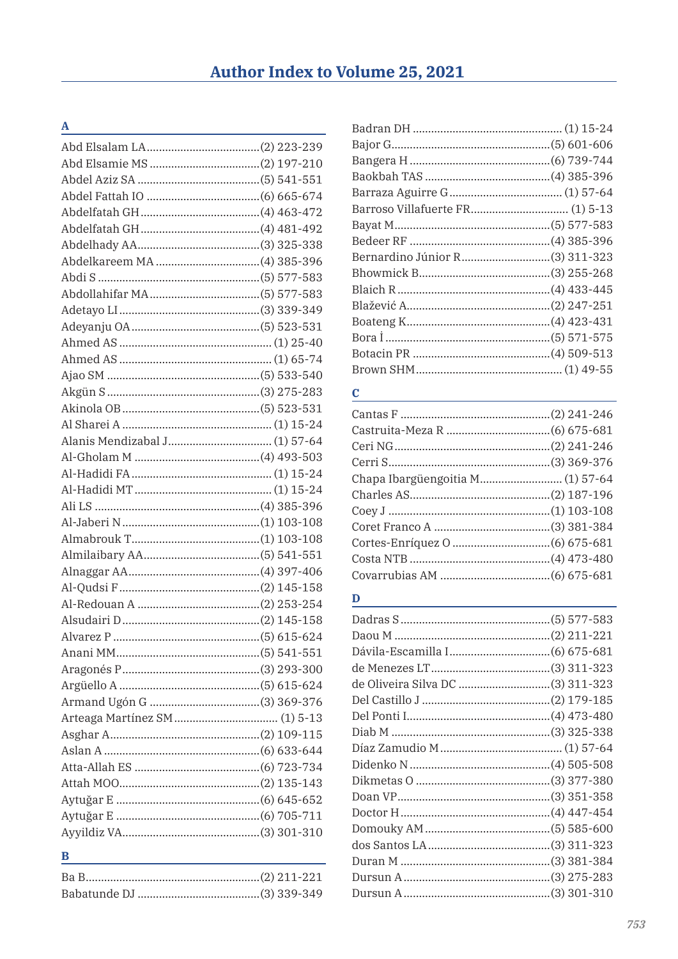### $\underline{\mathbf{A}}$

| B |  |
|---|--|

<u> 1980 - Johann Barbara, martxa alemaniar a</u>

## $\mathbf{B}$

| Barroso Villafuerte FR (1) 5-13       |
|---------------------------------------|
|                                       |
|                                       |
| Bernardino Júnior R(3) 311-323        |
| Bhowmick B………………………………………(3) 255-268  |
|                                       |
| Blažević A…………………………………………(2) 247-251 |
| Boateng K……………………………………………(4) 423-431 |
|                                       |
|                                       |
|                                       |
|                                       |

## $\mathbf C$

# $\overline{\mathbf{D}}$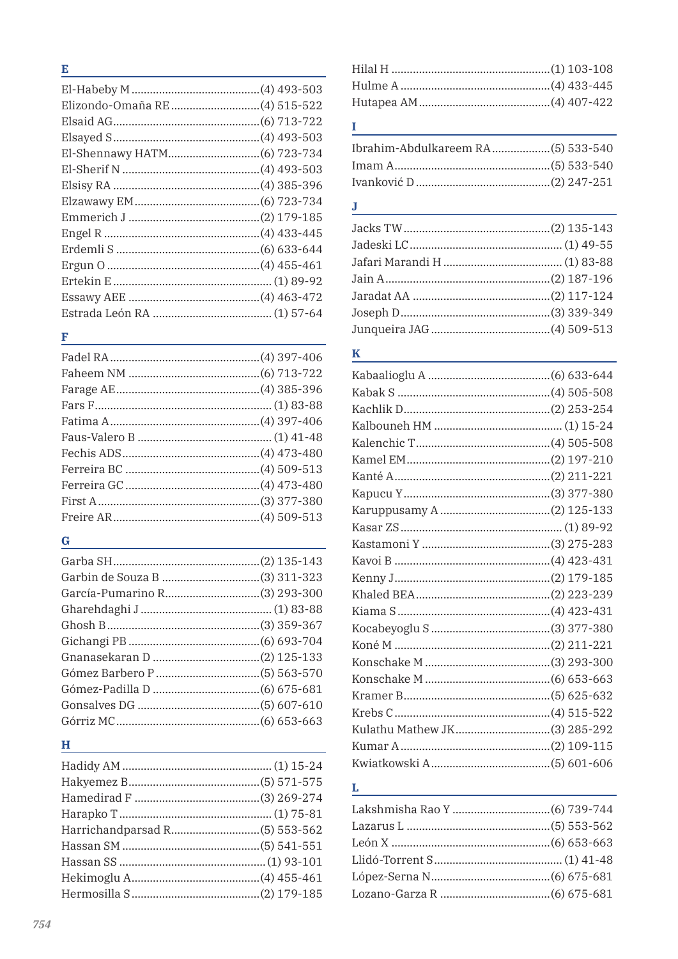## E and the contract of the contract of the contract of the contract of the contract of the contract of the contract of the contract of the contract of the contract of the contract of the contract of the contract of the cont

# <u>F and the set of the set of the set of the set of the set of the set of the set of the set of the set of the set of the set of the set of the set of the set of the set of the set of the set of the set of the set of the se</u>

## $\mathbf{G}$  and the contract of the contract of the contract of the contract of the contract of the contract of the contract of the contract of the contract of the contract of the contract of the contract of the contract of

### Here we have a strong of the state of the state of the state of the state of the state of the state of the state of the state of the state of the state of the state of the state of the state of the state of the state of th

## **I** and the second contract the second contract of

## 

## $\bf K$

## $\mathbf{L}$  and  $\mathbf{L}$  are the set of the set of the set of the set of the set of the set of the set of the set of the set of the set of the set of the set of the set of the set of the set of the set of the set of the set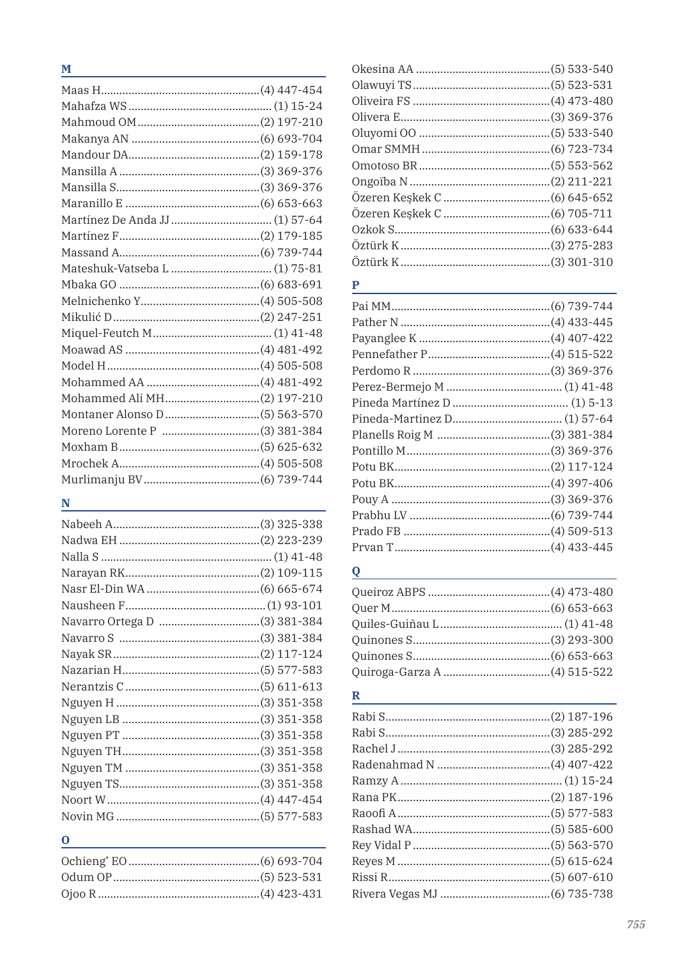| M |  |
|---|--|
|   |  |
|   |  |
|   |  |
|   |  |
|   |  |
|   |  |
|   |  |
|   |  |
|   |  |
|   |  |
|   |  |
|   |  |
|   |  |
|   |  |
|   |  |
|   |  |
|   |  |
|   |  |
|   |  |
|   |  |
|   |  |
|   |  |
|   |  |
|   |  |
|   |  |

# $\overline{\mathbf{N}}$

| Navarro Ortega D (3) 381-384 |  |
|------------------------------|--|
|                              |  |
|                              |  |
|                              |  |
|                              |  |
|                              |  |
|                              |  |
|                              |  |
|                              |  |
|                              |  |
|                              |  |
|                              |  |
|                              |  |
| O                            |  |

## $\mathbf P$

# $Q$  and  $Q$  and  $Q$  and  $Q$  and  $Q$  and  $Q$  and  $Q$  and  $Q$  and  $Q$  and  $Q$  and  $Q$  and  $Q$  and  $Q$  and  $Q$  and  $Q$  and  $Q$  and  $Q$  and  $Q$  and  $Q$  and  $Q$  and  $Q$  and  $Q$  and  $Q$  and  $Q$  and  $Q$  and  $Q$  and  $Q$  and  $Q$  a

## **R** and the state of the state of the state of the state of the state of the state of the state of the state of